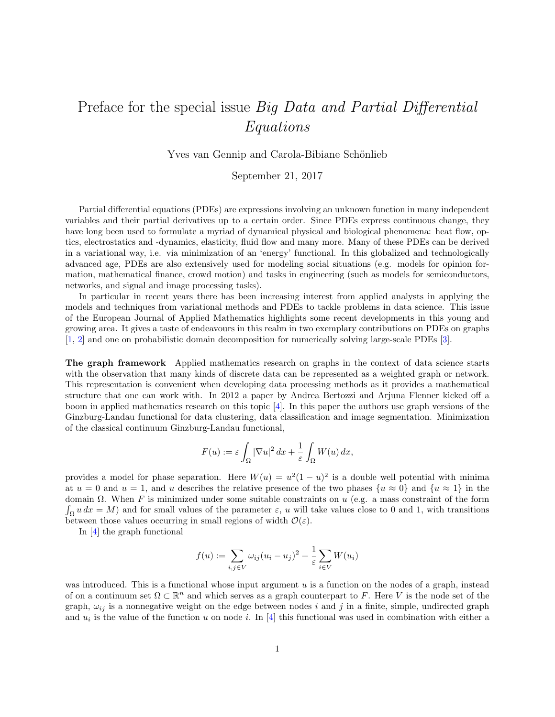## Preface for the special issue *Big Data and Partial Differential* Equations

Yves van Gennip and Carola-Bibiane Schönlieb

September 21, 2017

Partial differential equations (PDEs) are expressions involving an unknown function in many independent variables and their partial derivatives up to a certain order. Since PDEs express continuous change, they have long been used to formulate a myriad of dynamical physical and biological phenomena: heat flow, optics, electrostatics and -dynamics, elasticity, fluid flow and many more. Many of these PDEs can be derived in a variational way, i.e. via minimization of an 'energy' functional. In this globalized and technologically advanced age, PDEs are also extensively used for modeling social situations (e.g. models for opinion formation, mathematical finance, crowd motion) and tasks in engineering (such as models for semiconductors, networks, and signal and image processing tasks).

In particular in recent years there has been increasing interest from applied analysts in applying the models and techniques from variational methods and PDEs to tackle problems in data science. This issue of the European Journal of Applied Mathematics highlights some recent developments in this young and growing area. It gives a taste of endeavours in this realm in two exemplary contributions on PDEs on graphs [\[1,](#page-4-0) [2\]](#page-4-1) and one on probabilistic domain decomposition for numerically solving large-scale PDEs [\[3\]](#page-5-0).

The graph framework Applied mathematics research on graphs in the context of data science starts with the observation that many kinds of discrete data can be represented as a weighted graph or network. This representation is convenient when developing data processing methods as it provides a mathematical structure that one can work with. In 2012 a paper by Andrea Bertozzi and Arjuna Flenner kicked off a boom in applied mathematics research on this topic [\[4\]](#page-5-1). In this paper the authors use graph versions of the Ginzburg-Landau functional for data clustering, data classification and image segmentation. Minimization of the classical continuum Ginzburg-Landau functional,

$$
F(u) := \varepsilon \int_{\Omega} |\nabla u|^2 dx + \frac{1}{\varepsilon} \int_{\Omega} W(u) dx,
$$

provides a model for phase separation. Here  $W(u) = u^2(1-u)^2$  is a double well potential with minima at  $u = 0$  and  $u = 1$ , and u describes the relative presence of the two phases  $\{u \approx 0\}$  and  $\{u \approx 1\}$  in the domain Ω. When F is minimized under some suitable constraints on u (e.g. a mass constraint of the form  $\int_{\Omega} u \, dx = M$ ) and for small values of the parameter  $\varepsilon$ , u will take values close to 0 and 1, with transitions between those values occurring in small regions of width  $\mathcal{O}(\varepsilon)$ .

In [\[4\]](#page-5-1) the graph functional

$$
f(u) := \sum_{i,j \in V} \omega_{ij} (u_i - u_j)^2 + \frac{1}{\varepsilon} \sum_{i \in V} W(u_i)
$$

was introduced. This is a functional whose input argument  $u$  is a function on the nodes of a graph, instead of on a continuum set  $\Omega \subset \mathbb{R}^n$  and which serves as a graph counterpart to F. Here V is the node set of the graph,  $\omega_{ij}$  is a nonnegative weight on the edge between nodes i and j in a finite, simple, undirected graph and  $u_i$  is the value of the function u on node i. In [\[4\]](#page-5-1) this functional was used in combination with either a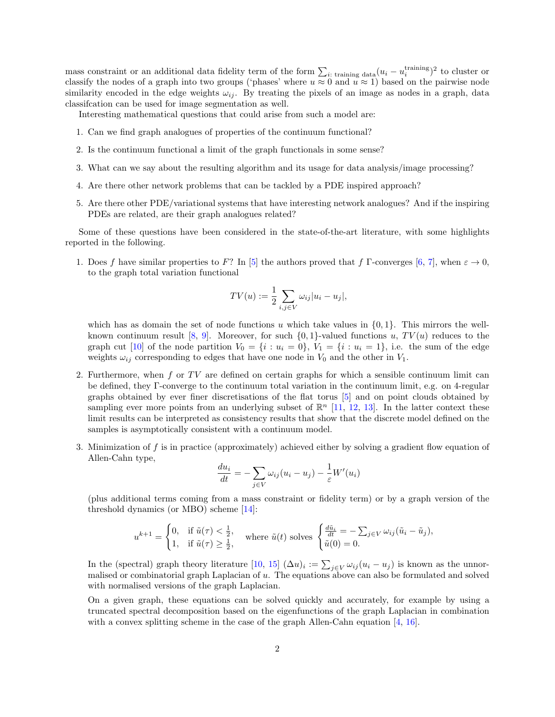mass constraint or an additional data fidelity term of the form  $\sum_{i: \text{ training data}} (u_i - u_i^{\text{training}})^2$  to cluster or classify the nodes of a graph into two groups ('phases' where  $u \approx 0$  and  $u \approx 1$ ) based on the pairwise node similarity encoded in the edge weights  $\omega_{ij}$ . By treating the pixels of an image as nodes in a graph, data classifcation can be used for image segmentation as well.

Interesting mathematical questions that could arise from such a model are:

- 1. Can we find graph analogues of properties of the continuum functional?
- 2. Is the continuum functional a limit of the graph functionals in some sense?
- 3. What can we say about the resulting algorithm and its usage for data analysis/image processing?
- 4. Are there other network problems that can be tackled by a PDE inspired approach?
- 5. Are there other PDE/variational systems that have interesting network analogues? And if the inspiring PDEs are related, are their graph analogues related?

Some of these questions have been considered in the state-of-the-art literature, with some highlights reported in the following.

1. Does f have similar properties to F? In [\[5\]](#page-5-2) the authors proved that f  $\Gamma$ -converges [\[6,](#page-5-3) [7\]](#page-5-4), when  $\varepsilon \to 0$ , to the graph total variation functional

$$
TV(u) := \frac{1}{2} \sum_{i,j \in V} \omega_{ij} |u_i - u_j|,
$$

which has as domain the set of node functions u which take values in  $\{0, 1\}$ . This mirrors the wellknown continuum result  $[8, 9]$  $[8, 9]$ . Moreover, for such  $\{0, 1\}$ -valued functions u,  $TV(u)$  reduces to the graph cut [\[10\]](#page-5-7) of the node partition  $V_0 = \{i : u_i = 0\}$ ,  $V_1 = \{i : u_i = 1\}$ , i.e. the sum of the edge weights  $\omega_{ij}$  corresponding to edges that have one node in  $V_0$  and the other in  $V_1$ .

- 2. Furthermore, when  $f$  or  $TV$  are defined on certain graphs for which a sensible continuum limit can be defined, they Γ-converge to the continuum total variation in the continuum limit, e.g. on 4-regular graphs obtained by ever finer discretisations of the flat torus [\[5\]](#page-5-2) and on point clouds obtained by sampling ever more points from an underlying subset of  $\mathbb{R}^n$  [\[11,](#page-5-8) [12,](#page-5-9) [13\]](#page-5-10). In the latter context these limit results can be interpreted as consistency results that show that the discrete model defined on the samples is asymptotically consistent with a continuum model.
- 3. Minimization of f is in practice (approximately) achieved either by solving a gradient flow equation of Allen-Cahn type,

$$
\frac{du_i}{dt} = -\sum_{j \in V} \omega_{ij} (u_i - u_j) - \frac{1}{\varepsilon} W'(u_i)
$$

(plus additional terms coming from a mass constraint or fidelity term) or by a graph version of the threshold dynamics (or MBO) scheme [\[14\]](#page-5-11):

$$
u^{k+1} = \begin{cases} 0, & \text{if } \tilde{u}(\tau) < \frac{1}{2}, \\ 1, & \text{if } \tilde{u}(\tau) \ge \frac{1}{2}, \end{cases} \text{ where } \tilde{u}(t) \text{ solves } \begin{cases} \frac{d\tilde{u}_i}{dt} = -\sum_{j \in V} \omega_{ij} (\tilde{u}_i - \tilde{u}_j), \\ \tilde{u}(0) = 0. \end{cases}
$$

In the (spectral) graph theory literature [\[10,](#page-5-7) [15\]](#page-5-12)  $(\Delta u)_i := \sum_{j \in V} \omega_{ij} (u_i - u_j)$  is known as the unnormalised or combinatorial graph Laplacian of u. The equations above can also be formulated and solved with normalised versions of the graph Laplacian.

On a given graph, these equations can be solved quickly and accurately, for example by using a truncated spectral decomposition based on the eigenfunctions of the graph Laplacian in combination with a convex splitting scheme in the case of the graph Allen-Cahn equation [\[4,](#page-5-1) [16\]](#page-5-13).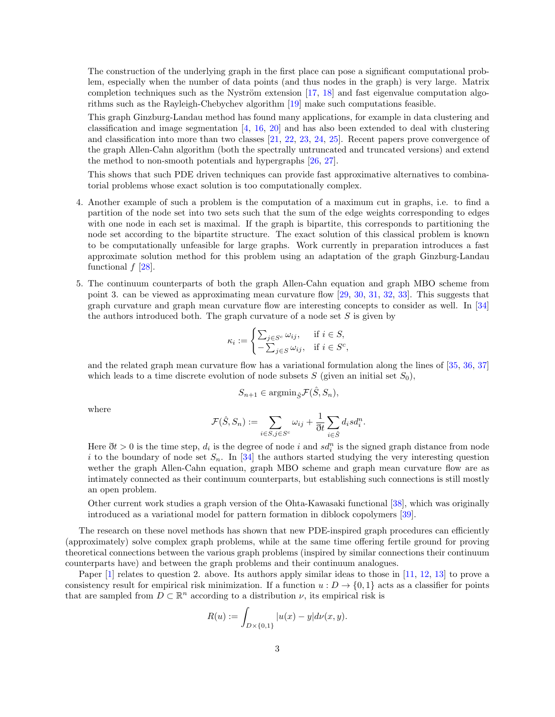The construction of the underlying graph in the first place can pose a significant computational problem, especially when the number of data points (and thus nodes in the graph) is very large. Matrix completion techniques such as the Nyström extension  $[17, 18]$  $[17, 18]$  and fast eigenvalue computation algorithms such as the Rayleigh-Chebychev algorithm [\[19\]](#page-5-16) make such computations feasible.

This graph Ginzburg-Landau method has found many applications, for example in data clustering and classification and image segmentation [\[4,](#page-5-1) [16,](#page-5-13) [20\]](#page-5-17) and has also been extended to deal with clustering and classification into more than two classes [\[21,](#page-5-18) [22,](#page-5-19) [23,](#page-6-0) [24,](#page-6-1) [25\]](#page-6-2). Recent papers prove convergence of the graph Allen-Cahn algorithm (both the spectrally untruncated and truncated versions) and extend the method to non-smooth potentials and hypergraphs [\[26,](#page-6-3) [27\]](#page-6-4).

This shows that such PDE driven techniques can provide fast approximative alternatives to combinatorial problems whose exact solution is too computationally complex.

- 4. Another example of such a problem is the computation of a maximum cut in graphs, i.e. to find a partition of the node set into two sets such that the sum of the edge weights corresponding to edges with one node in each set is maximal. If the graph is bipartite, this corresponds to partitioning the node set according to the bipartite structure. The exact solution of this classical problem is known to be computationally unfeasible for large graphs. Work currently in preparation introduces a fast approximate solution method for this problem using an adaptation of the graph Ginzburg-Landau functional  $f$  [\[28\]](#page-6-5).
- 5. The continuum counterparts of both the graph Allen-Cahn equation and graph MBO scheme from point 3. can be viewed as approximating mean curvature flow [\[29,](#page-6-6) [30,](#page-6-7) [31,](#page-6-8) [32,](#page-6-9) [33\]](#page-6-10). This suggests that graph curvature and graph mean curvature flow are interesting concepts to consider as well. In [\[34\]](#page-6-11) the authors introduced both. The graph curvature of a node set  $S$  is given by

$$
\kappa_i := \begin{cases} \sum_{j \in S^c} \omega_{ij}, & \text{if } i \in S, \\ -\sum_{j \in S} \omega_{ij}, & \text{if } i \in S^c, \end{cases}
$$

and the related graph mean curvature flow has a variational formulation along the lines of [\[35,](#page-6-12) [36,](#page-6-13) [37\]](#page-6-14) which leads to a time discrete evolution of node subsets  $S$  (given an initial set  $S_0$ ),

$$
S_{n+1} \in \operatorname{argmin}_{\hat{S}} \mathcal{F}(\hat{S}, S_n),
$$

where

$$
\mathcal{F}(\hat{S}, S_n) := \sum_{i \in S, j \in S^c} \omega_{ij} + \frac{1}{\mathfrak{J}t} \sum_{i \in \hat{S}} d_i s d_i^n.
$$

Here  $\eth t > 0$  is the time step,  $d_i$  is the degree of node i and  $sd_i^n$  is the signed graph distance from node i to the boundary of node set  $S_n$ . In [\[34\]](#page-6-11) the authors started studying the very interesting question wether the graph Allen-Cahn equation, graph MBO scheme and graph mean curvature flow are as intimately connected as their continuum counterparts, but establishing such connections is still mostly an open problem.

Other current work studies a graph version of the Ohta-Kawasaki functional [\[38\]](#page-6-15), which was originally introduced as a variational model for pattern formation in diblock copolymers [\[39\]](#page-6-16).

The research on these novel methods has shown that new PDE-inspired graph procedures can efficiently (approximately) solve complex graph problems, while at the same time offering fertile ground for proving theoretical connections between the various graph problems (inspired by similar connections their continuum counterparts have) and between the graph problems and their continuum analogues.

Paper [\[1\]](#page-4-0) relates to question 2. above. Its authors apply similar ideas to those in [\[11,](#page-5-8) [12,](#page-5-9) [13\]](#page-5-10) to prove a consistency result for empirical risk minimization. If a function  $u : D \to \{0, 1\}$  acts as a classifier for points that are sampled from  $D \subset \mathbb{R}^n$  according to a distribution  $\nu$ , its empirical risk is

$$
R(u) := \int_{D \times \{0,1\}} |u(x) - y| d\nu(x, y).
$$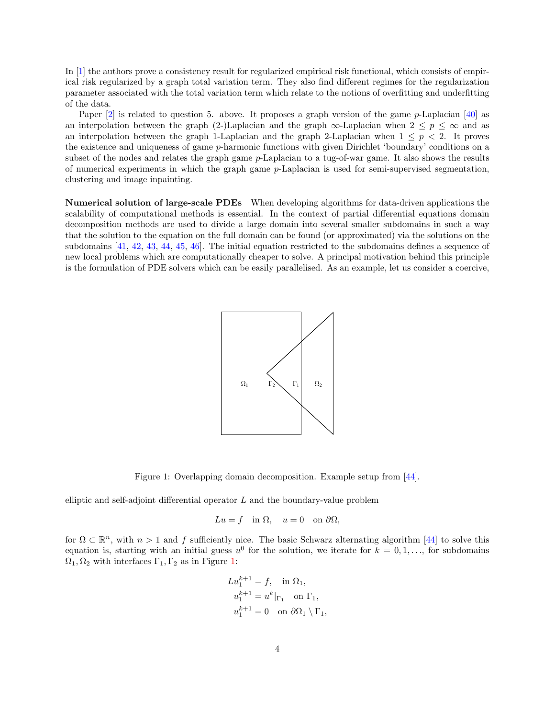In [\[1\]](#page-4-0) the authors prove a consistency result for regularized empirical risk functional, which consists of empirical risk regularized by a graph total variation term. They also find different regimes for the regularization parameter associated with the total variation term which relate to the notions of overfitting and underfitting of the data.

Paper  $[2]$  is related to question 5. above. It proposes a graph version of the game p-Laplacian  $[40]$  as an interpolation between the graph (2-)Laplacian and the graph  $\infty$ -Laplacian when  $2 \leq p \leq \infty$  and as an interpolation between the graph 1-Laplacian and the graph 2-Laplacian when  $1 \leq p \leq 2$ . It proves the existence and uniqueness of game p-harmonic functions with given Dirichlet 'boundary' conditions on a subset of the nodes and relates the graph game p-Laplacian to a tug-of-war game. It also shows the results of numerical experiments in which the graph game  $p$ -Laplacian is used for semi-supervised segmentation, clustering and image inpainting.

<span id="page-3-0"></span>Numerical solution of large-scale PDEs When developing algorithms for data-driven applications the scalability of computational methods is essential. In the context of partial differential equations domain decomposition methods are used to divide a large domain into several smaller subdomains in such a way that the solution to the equation on the full domain can be found (or approximated) via the solutions on the subdomains [\[41,](#page-6-18) [42,](#page-6-19) [43,](#page-7-0) [44,](#page-7-1) [45,](#page-7-2) [46\]](#page-7-3). The initial equation restricted to the subdomains defines a sequence of new local problems which are computationally cheaper to solve. A principal motivation behind this principle is the formulation of PDE solvers which can be easily parallelised. As an example, let us consider a coercive,



Figure 1: Overlapping domain decomposition. Example setup from [\[44\]](#page-7-1).

elliptic and self-adjoint differential operator L and the boundary-value problem

$$
Lu = f \quad \text{in } \Omega, \quad u = 0 \quad \text{on } \partial\Omega,
$$

for  $\Omega \subset \mathbb{R}^n$ , with  $n > 1$  and f sufficiently nice. The basic Schwarz alternating algorithm [\[44\]](#page-7-1) to solve this equation is, starting with an initial guess  $u^0$  for the solution, we iterate for  $k = 0, 1, \ldots$ , for subdomains  $\Omega_1, \Omega_2$  with interfaces  $\Gamma_1, \Gamma_2$  as in Figure [1:](#page-3-0)

$$
Lu_1^{k+1} = f, \text{ in } \Omega_1,
$$
  
\n
$$
u_1^{k+1} = u^k|_{\Gamma_1} \text{ on } \Gamma_1,
$$
  
\n
$$
u_1^{k+1} = 0 \text{ on } \partial\Omega_1 \setminus \Gamma_1,
$$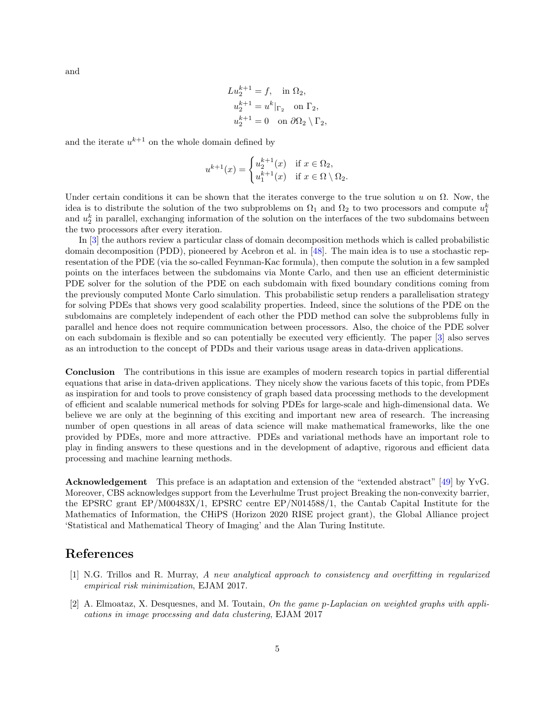and

$$
Lu_2^{k+1} = f, \text{ in } \Omega_2,
$$
  
\n
$$
u_2^{k+1} = u^k|_{\Gamma_2} \text{ on } \Gamma_2,
$$
  
\n
$$
u_2^{k+1} = 0 \text{ on } \partial\Omega_2 \setminus \Gamma_2,
$$

and the iterate  $u^{k+1}$  on the whole domain defined by

$$
u^{k+1}(x) = \begin{cases} u_2^{k+1}(x) & \text{if } x \in \Omega_2, \\ u_1^{k+1}(x) & \text{if } x \in \Omega \setminus \Omega_2. \end{cases}
$$

Under certain conditions it can be shown that the iterates converge to the true solution u on  $\Omega$ . Now, the idea is to distribute the solution of the two subproblems on  $\Omega_1$  and  $\Omega_2$  to two processors and compute  $u_1^k$ and  $u_2^k$  in parallel, exchanging information of the solution on the interfaces of the two subdomains between the two processors after every iteration.

In [\[3\]](#page-5-0) the authors review a particular class of domain decomposition methods which is called probabilistic domain decomposition (PDD), pioneered by Acebron et al. in  $[48]$ . The main idea is to use a stochastic representation of the PDE (via the so-called Feynman-Kac formula), then compute the solution in a few sampled points on the interfaces between the subdomains via Monte Carlo, and then use an efficient deterministic PDE solver for the solution of the PDE on each subdomain with fixed boundary conditions coming from the previously computed Monte Carlo simulation. This probabilistic setup renders a parallelisation strategy for solving PDEs that shows very good scalability properties. Indeed, since the solutions of the PDE on the subdomains are completely independent of each other the PDD method can solve the subproblems fully in parallel and hence does not require communication between processors. Also, the choice of the PDE solver on each subdomain is flexible and so can potentially be executed very efficiently. The paper [\[3\]](#page-5-0) also serves as an introduction to the concept of PDDs and their various usage areas in data-driven applications.

Conclusion The contributions in this issue are examples of modern research topics in partial differential equations that arise in data-driven applications. They nicely show the various facets of this topic, from PDEs as inspiration for and tools to prove consistency of graph based data processing methods to the development of efficient and scalable numerical methods for solving PDEs for large-scale and high-dimensional data. We believe we are only at the beginning of this exciting and important new area of research. The increasing number of open questions in all areas of data science will make mathematical frameworks, like the one provided by PDEs, more and more attractive. PDEs and variational methods have an important role to play in finding answers to these questions and in the development of adaptive, rigorous and efficient data processing and machine learning methods.

Acknowledgement This preface is an adaptation and extension of the "extended abstract" [\[49\]](#page-7-5) by YvG. Moreover, CBS acknowledges support from the Leverhulme Trust project Breaking the non-convexity barrier, the EPSRC grant EP/M00483X/1, EPSRC centre EP/N014588/1, the Cantab Capital Institute for the Mathematics of Information, the CHiPS (Horizon 2020 RISE project grant), the Global Alliance project 'Statistical and Mathematical Theory of Imaging' and the Alan Turing Institute.

## References

- <span id="page-4-0"></span>[1] N.G. Trillos and R. Murray, A new analytical approach to consistency and overfitting in regularized empirical risk minimization, EJAM 2017.
- <span id="page-4-1"></span>[2] A. Elmoataz, X. Desquesnes, and M. Toutain, On the game p-Laplacian on weighted graphs with applications in image processing and data clustering, EJAM 2017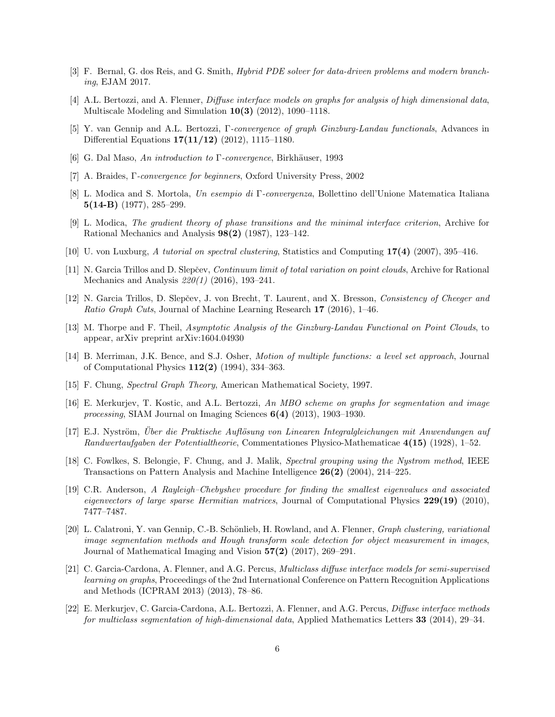- <span id="page-5-0"></span>[3] F. Bernal, G. dos Reis, and G. Smith, Hybrid PDE solver for data-driven problems and modern branching, EJAM 2017.
- <span id="page-5-1"></span>[4] A.L. Bertozzi, and A. Flenner, Diffuse interface models on graphs for analysis of high dimensional data, Multiscale Modeling and Simulation 10(3) (2012), 1090–1118.
- <span id="page-5-2"></span>[5] Y. van Gennip and A.L. Bertozzi, Γ-convergence of graph Ginzburg-Landau functionals, Advances in Differential Equations 17(11/12) (2012), 1115–1180.
- <span id="page-5-3"></span>[6] G. Dal Maso, An introduction to  $\Gamma$ -convergence, Birkhäuser, 1993
- <span id="page-5-4"></span>[7] A. Braides, Γ-convergence for beginners, Oxford University Press, 2002
- <span id="page-5-5"></span>[8] L. Modica and S. Mortola, Un esempio di Γ-convergenza, Bollettino dell'Unione Matematica Italiana 5(14-B) (1977), 285–299.
- <span id="page-5-6"></span>[9] L. Modica, The gradient theory of phase transitions and the minimal interface criterion, Archive for Rational Mechanics and Analysis 98(2) (1987), 123–142.
- <span id="page-5-7"></span>[10] U. von Luxburg, A tutorial on spectral clustering, Statistics and Computing 17(4) (2007), 395–416.
- <span id="page-5-8"></span>[11] N. Garcia Trillos and D. Slepčev, *Continuum limit of total variation on point clouds*, Archive for Rational Mechanics and Analysis 220(1) (2016), 193–241.
- <span id="page-5-9"></span>[12] N. Garcia Trillos, D. Slepčev, J. von Brecht, T. Laurent, and X. Bresson, Consistency of Cheeger and Ratio Graph Cuts, Journal of Machine Learning Research 17 (2016), 1–46.
- <span id="page-5-10"></span>[13] M. Thorpe and F. Theil, Asymptotic Analysis of the Ginzburg-Landau Functional on Point Clouds, to appear, arXiv preprint arXiv:1604.04930
- <span id="page-5-11"></span>[14] B. Merriman, J.K. Bence, and S.J. Osher, Motion of multiple functions: a level set approach, Journal of Computational Physics 112(2) (1994), 334–363.
- <span id="page-5-12"></span>[15] F. Chung, Spectral Graph Theory, American Mathematical Society, 1997.
- <span id="page-5-13"></span>[16] E. Merkurjev, T. Kostic, and A.L. Bertozzi, An MBO scheme on graphs for segmentation and image processing, SIAM Journal on Imaging Sciences 6(4) (2013), 1903–1930.
- <span id="page-5-14"></span>[17] E.J. Nyström, Über die Praktische Auflösung von Linearen Integralgleichungen mit Anwendungen auf Randwertaufgaben der Potentialtheorie, Commentationes Physico-Mathematicae 4(15) (1928), 1–52.
- <span id="page-5-15"></span>[18] C. Fowlkes, S. Belongie, F. Chung, and J. Malik, Spectral grouping using the Nystrom method, IEEE Transactions on Pattern Analysis and Machine Intelligence 26(2) (2004), 214–225.
- <span id="page-5-16"></span>[19] C.R. Anderson, A Rayleigh–Chebyshev procedure for finding the smallest eigenvalues and associated eigenvectors of large sparse Hermitian matrices, Journal of Computational Physics 229(19) (2010), 7477–7487.
- <span id="page-5-17"></span>[20] L. Calatroni, Y. van Gennip, C.-B. Schönlieb, H. Rowland, and A. Flenner, *Graph clustering, variational* image segmentation methods and Hough transform scale detection for object measurement in images, Journal of Mathematical Imaging and Vision 57(2) (2017), 269–291.
- <span id="page-5-18"></span>[21] C. Garcia-Cardona, A. Flenner, and A.G. Percus, Multiclass diffuse interface models for semi-supervised learning on graphs, Proceedings of the 2nd International Conference on Pattern Recognition Applications and Methods (ICPRAM 2013) (2013), 78–86.
- <span id="page-5-19"></span>[22] E. Merkurjev, C. Garcia-Cardona, A.L. Bertozzi, A. Flenner, and A.G. Percus, Diffuse interface methods for multiclass segmentation of high-dimensional data, Applied Mathematics Letters 33 (2014), 29–34.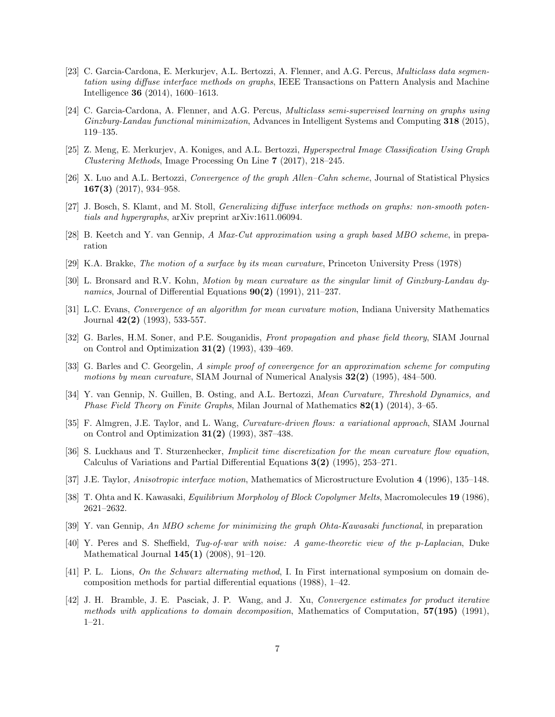- <span id="page-6-0"></span>[23] C. Garcia-Cardona, E. Merkurjev, A.L. Bertozzi, A. Flenner, and A.G. Percus, *Multiclass data segmen*tation using diffuse interface methods on graphs, IEEE Transactions on Pattern Analysis and Machine Intelligence 36 (2014), 1600–1613.
- <span id="page-6-1"></span>[24] C. Garcia-Cardona, A. Flenner, and A.G. Percus, Multiclass semi-supervised learning on graphs using Ginzburg-Landau functional minimization, Advances in Intelligent Systems and Computing 318 (2015), 119–135.
- <span id="page-6-2"></span>[25] Z. Meng, E. Merkurjev, A. Koniges, and A.L. Bertozzi, Hyperspectral Image Classification Using Graph Clustering Methods, Image Processing On Line 7 (2017), 218–245.
- <span id="page-6-3"></span>[26] X. Luo and A.L. Bertozzi, Convergence of the graph Allen–Cahn scheme, Journal of Statistical Physics 167(3) (2017), 934–958.
- <span id="page-6-4"></span>[27] J. Bosch, S. Klamt, and M. Stoll, Generalizing diffuse interface methods on graphs: non-smooth potentials and hypergraphs, arXiv preprint arXiv:1611.06094.
- <span id="page-6-5"></span>[28] B. Keetch and Y. van Gennip, A Max-Cut approximation using a graph based MBO scheme, in preparation
- <span id="page-6-6"></span>[29] K.A. Brakke, The motion of a surface by its mean curvature, Princeton University Press (1978)
- <span id="page-6-7"></span>[30] L. Bronsard and R.V. Kohn, Motion by mean curvature as the singular limit of Ginzburg-Landau dynamics, Journal of Differential Equations  $90(2)$  (1991), 211–237.
- <span id="page-6-8"></span>[31] L.C. Evans, Convergence of an algorithm for mean curvature motion, Indiana University Mathematics Journal 42(2) (1993), 533-557.
- <span id="page-6-9"></span>[32] G. Barles, H.M. Soner, and P.E. Souganidis, Front propagation and phase field theory, SIAM Journal on Control and Optimization 31(2) (1993), 439–469.
- <span id="page-6-10"></span>[33] G. Barles and C. Georgelin, A simple proof of convergence for an approximation scheme for computing motions by mean curvature, SIAM Journal of Numerical Analysis  $32(2)$  (1995), 484–500.
- <span id="page-6-11"></span>[34] Y. van Gennip, N. Guillen, B. Osting, and A.L. Bertozzi, *Mean Curvature, Threshold Dynamics, and Phase Field Theory on Finite Graphs*, Milan Journal of Mathematics  $82(1)$  (2014), 3–65.
- <span id="page-6-12"></span>[35] F. Almgren, J.E. Taylor, and L. Wang, *Curvature-driven flows: a variational approach*, SIAM Journal on Control and Optimization 31(2) (1993), 387–438.
- <span id="page-6-13"></span>[36] S. Luckhaus and T. Sturzenhecker, Implicit time discretization for the mean curvature flow equation, Calculus of Variations and Partial Differential Equations 3(2) (1995), 253–271.
- <span id="page-6-14"></span>[37] J.E. Taylor, Anisotropic interface motion, Mathematics of Microstructure Evolution 4 (1996), 135–148.
- <span id="page-6-15"></span>[38] T. Ohta and K. Kawasaki, *Equilibrium Morpholoy of Block Copolymer Melts*, Macromolecules 19 (1986), 2621–2632.
- <span id="page-6-16"></span>[39] Y. van Gennip, An MBO scheme for minimizing the graph Ohta-Kawasaki functional, in preparation
- <span id="page-6-17"></span>[40] Y. Peres and S. Sheffield, Tug-of-war with noise: A game-theoretic view of the p-Laplacian, Duke Mathematical Journal 145(1) (2008), 91–120.
- <span id="page-6-18"></span>[41] P. L. Lions, On the Schwarz alternating method, I. In First international symposium on domain decomposition methods for partial differential equations (1988), 1–42.
- <span id="page-6-19"></span>[42] J. H. Bramble, J. E. Pasciak, J. P. Wang, and J. Xu, Convergence estimates for product iterative methods with applications to domain decomposition, Mathematics of Computation,  $57(195)$  (1991), 1–21.